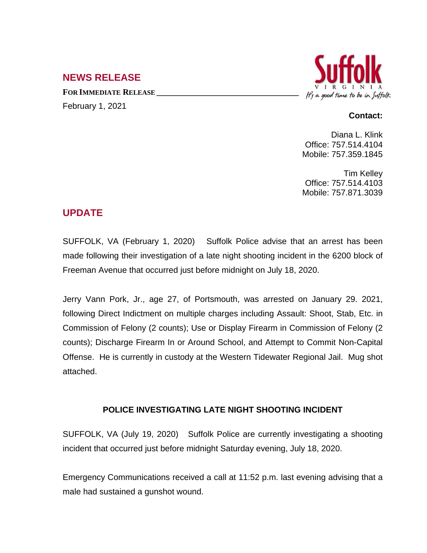## **NEWS RELEASE**

**FOR IMMEDIATE RELEASE \_\_\_\_\_\_\_\_\_\_\_\_\_\_\_\_\_\_\_\_\_\_\_\_\_\_\_\_\_\_\_\_\_\_** February 1, 2021



## **Contact:**

Diana L. Klink Office: 757.514.4104 Mobile: 757.359.1845

Tim Kelley Office: 757.514.4103 Mobile: 757.871.3039

## **UPDATE**

SUFFOLK, VA (February 1, 2020) Suffolk Police advise that an arrest has been made following their investigation of a late night shooting incident in the 6200 block of Freeman Avenue that occurred just before midnight on July 18, 2020.

Jerry Vann Pork, Jr., age 27, of Portsmouth, was arrested on January 29. 2021, following Direct Indictment on multiple charges including Assault: Shoot, Stab, Etc. in Commission of Felony (2 counts); Use or Display Firearm in Commission of Felony (2 counts); Discharge Firearm In or Around School, and Attempt to Commit Non-Capital Offense. He is currently in custody at the Western Tidewater Regional Jail. Mug shot attached.

## **POLICE INVESTIGATING LATE NIGHT SHOOTING INCIDENT**

SUFFOLK, VA (July 19, 2020) Suffolk Police are currently investigating a shooting incident that occurred just before midnight Saturday evening, July 18, 2020.

Emergency Communications received a call at 11:52 p.m. last evening advising that a male had sustained a gunshot wound.